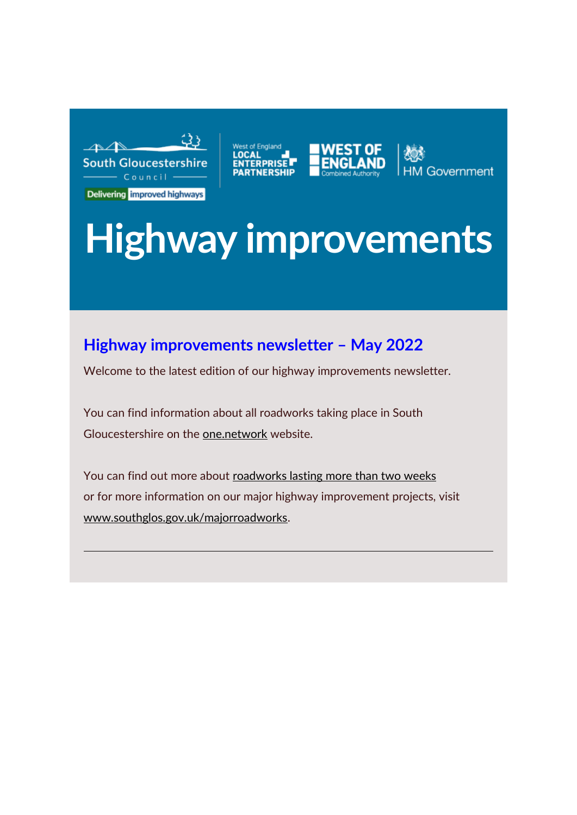



Government

# **Highway improvements**

# **Highway improvements newsletter – May 2022**

Welcome to the latest edition of our highway improvements newsletter.

You can find information about all roadworks taking place in South Gloucestershire on the [one.network](https://southglos.us3.list-manage.com/track/click?u=d80523c882d7ac64e89f5e037&id=3be3a3c57a&e=afdf321af1) website.

You can find out more about [roadworks lasting more than two weeks](https://southglos.us3.list-manage.com/track/click?u=d80523c882d7ac64e89f5e037&id=633f960835&e=afdf321af1) or for more information on our major highway improvement projects, visit [www.southglos.gov.uk/majorroadworks.](https://southglos.us3.list-manage.com/track/click?u=d80523c882d7ac64e89f5e037&id=2f267b9003&e=afdf321af1)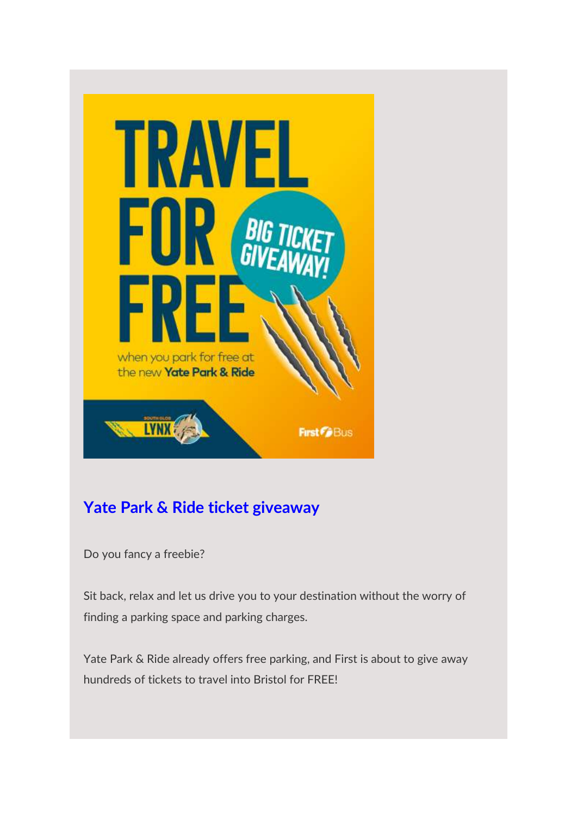

# **Yate Park & Ride ticket giveaway**

Do you fancy a freebie?

Sit back, relax and let us drive you to your destination without the worry of finding a parking space and parking charges.

Yate Park & Ride already offers free parking, and First is about to give away hundreds of tickets to travel into Bristol for FREE!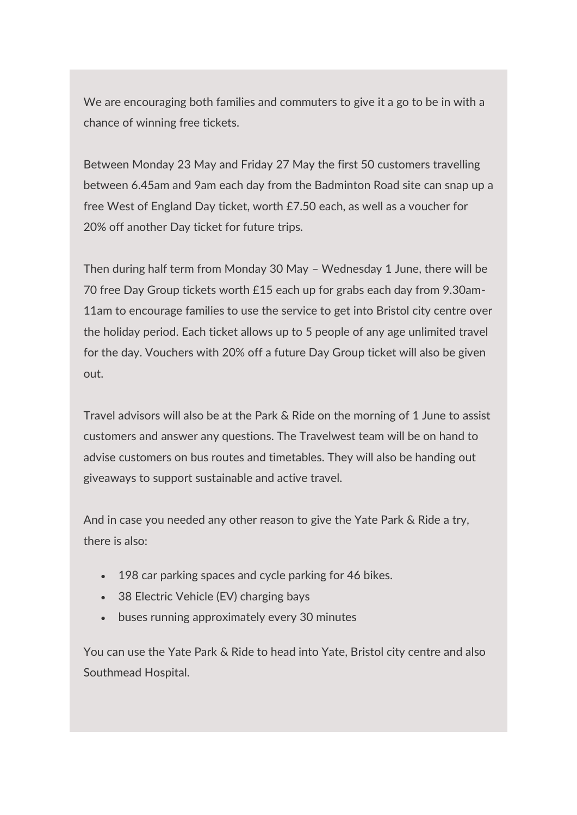We are encouraging both families and commuters to give it a go to be in with a chance of winning free tickets.

Between Monday 23 May and Friday 27 May the first 50 customers travelling between 6.45am and 9am each day from the Badminton Road site can snap up a free West of England Day ticket, worth £7.50 each, as well as a voucher for 20% off another Day ticket for future trips.

Then during half term from Monday 30 May – Wednesday 1 June, there will be 70 free Day Group tickets worth £15 each up for grabs each day from 9.30am-11am to encourage families to use the service to get into Bristol city centre over the holiday period. Each ticket allows up to 5 people of any age unlimited travel for the day. Vouchers with 20% off a future Day Group ticket will also be given out.

Travel advisors will also be at the Park & Ride on the morning of 1 June to assist customers and answer any questions. The Travelwest team will be on hand to advise customers on bus routes and timetables. They will also be handing out giveaways to support sustainable and active travel.

And in case you needed any other reason to give the Yate Park & Ride a try, there is also:

- 198 car parking spaces and cycle parking for 46 bikes.
- 38 Electric Vehicle (EV) charging bays
- buses running approximately every 30 minutes

You can use the Yate Park & Ride to head into Yate, Bristol city centre and also Southmead Hospital.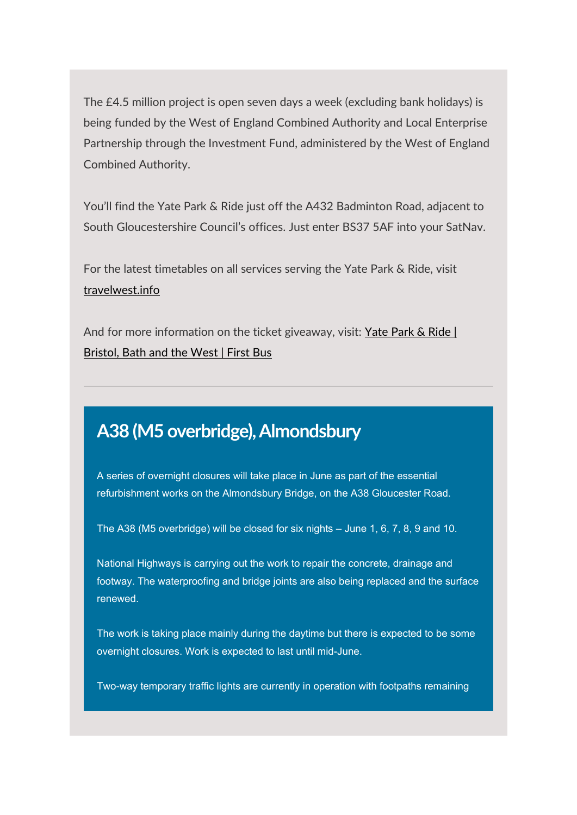The £4.5 million project is open seven days a week (excluding bank holidays) is being funded by the West of England Combined Authority and Local Enterprise Partnership through the Investment Fund, administered by the West of England Combined Authority.

You'll find the Yate Park & Ride just off the A432 Badminton Road, adjacent to South Gloucestershire Council's offices. Just enter BS37 5AF into your SatNav.

For the latest timetables on all services serving the Yate Park & Ride, visit [travelwest.info](https://southglos.us3.list-manage.com/track/click?u=d80523c882d7ac64e89f5e037&id=b2fc6a1091&e=afdf321af1)

And for more information on the ticket giveaway, visit: Yate Park & Ride | [Bristol, Bath and the West | First Bus](https://southglos.us3.list-manage.com/track/click?u=d80523c882d7ac64e89f5e037&id=d94468c971&e=afdf321af1)

# **A38 (M5 overbridge), Almondsbury**

A series of overnight closures will take place in June as part of the essential refurbishment works on the Almondsbury Bridge, on the A38 Gloucester Road.

The A38 (M5 overbridge) will be closed for six nights – June 1, 6, 7, 8, 9 and 10.

National Highways is carrying out the work to repair the concrete, drainage and footway. The waterproofing and bridge joints are also being replaced and the surface renewed.

The work is taking place mainly during the daytime but there is expected to be some overnight closures. Work is expected to last until mid-June.

Two-way temporary traffic lights are currently in operation with footpaths remaining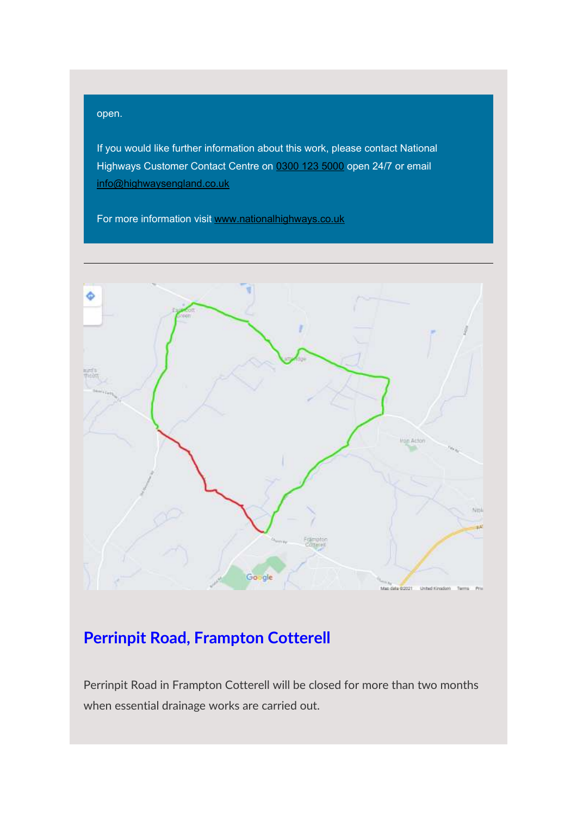#### open.

If you would like further information about this work, please contact National Highways Customer Contact Centre on [0300 123 5000](tel:03001235000) open 24/7 or email [info@highwaysengland.co.uk](mailto:info@highwaysengland.co.uk)

For more information visit [www.nationalhighways.co.uk](https://southglos.us3.list-manage.com/track/click?u=d80523c882d7ac64e89f5e037&id=6b523f86e6&e=afdf321af1)



# **Perrinpit Road, Frampton Cotterell**

Perrinpit Road in Frampton Cotterell will be closed for more than two months when essential drainage works are carried out.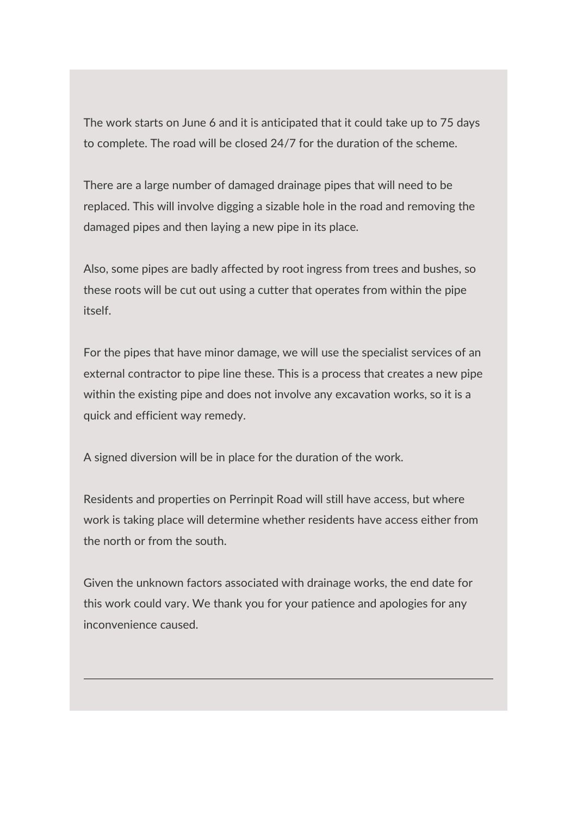The work starts on June 6 and it is anticipated that it could take up to 75 days to complete. The road will be closed 24/7 for the duration of the scheme.

There are a large number of damaged drainage pipes that will need to be replaced. This will involve digging a sizable hole in the road and removing the damaged pipes and then laying a new pipe in its place.

Also, some pipes are badly affected by root ingress from trees and bushes, so these roots will be cut out using a cutter that operates from within the pipe itself.

For the pipes that have minor damage, we will use the specialist services of an external contractor to pipe line these. This is a process that creates a new pipe within the existing pipe and does not involve any excavation works, so it is a quick and efficient way remedy.

A signed diversion will be in place for the duration of the work.

Residents and properties on Perrinpit Road will still have access, but where work is taking place will determine whether residents have access either from the north or from the south.

Given the unknown factors associated with drainage works, the end date for this work could vary. We thank you for your patience and apologies for any inconvenience caused.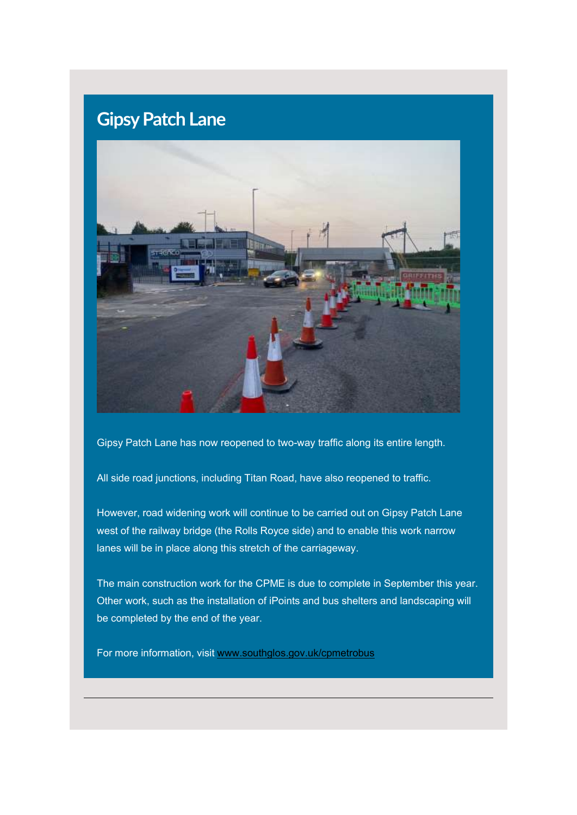# **Gipsy Patch Lane**



Gipsy Patch Lane has now reopened to two-way traffic along its entire length.

All side road junctions, including Titan Road, have also reopened to traffic.

However, road widening work will continue to be carried out on Gipsy Patch Lane west of the railway bridge (the Rolls Royce side) and to enable this work narrow lanes will be in place along this stretch of the carriageway.

The main construction work for the CPME is due to complete in September this year. Other work, such as the installation of iPoints and bus shelters and landscaping will be completed by the end of the year.

For more information, visit [www.southglos.gov.uk/cpmetrobus](https://southglos.us3.list-manage.com/track/click?u=d80523c882d7ac64e89f5e037&id=e35570b64f&e=afdf321af1)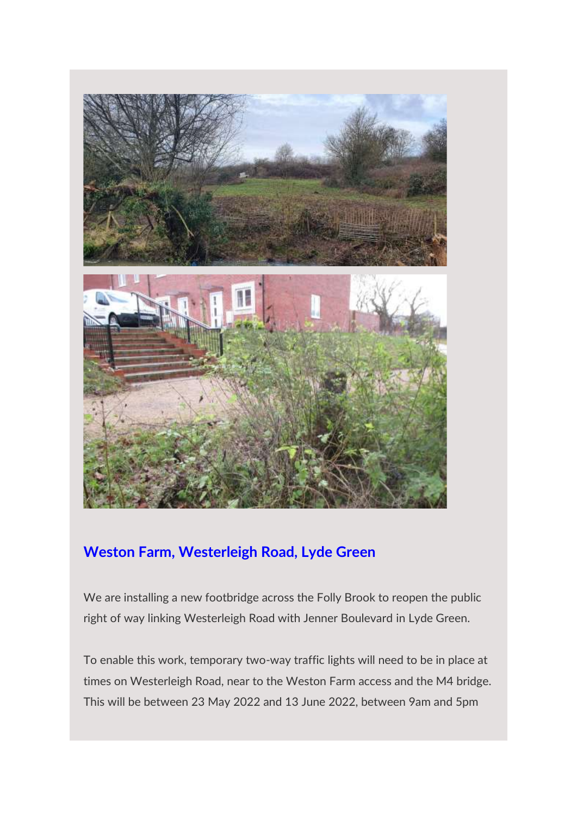

## **Weston Farm, Westerleigh Road, Lyde Green**

We are installing a new footbridge across the Folly Brook to reopen the public right of way linking Westerleigh Road with Jenner Boulevard in Lyde Green.

To enable this work, temporary two-way traffic lights will need to be in place at times on Westerleigh Road, near to the Weston Farm access and the M4 bridge. This will be between 23 May 2022 and 13 June 2022, between 9am and 5pm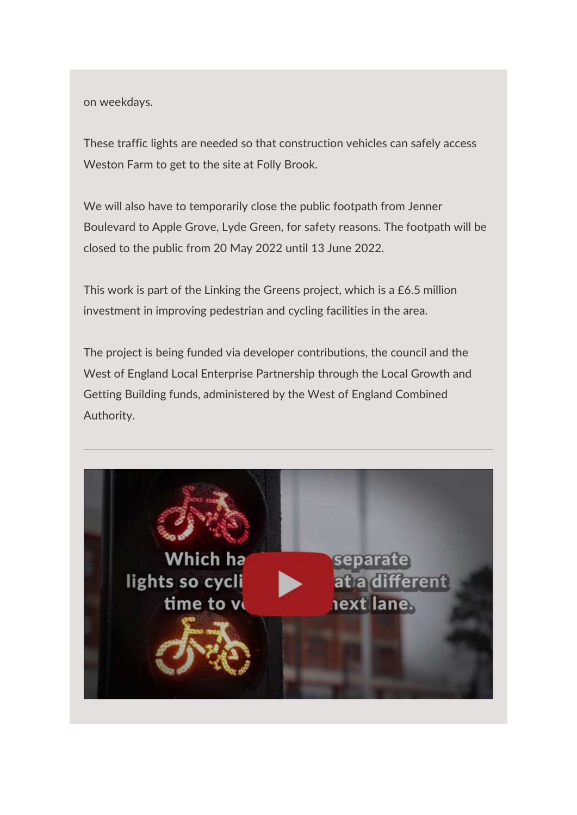on weekdays.

These traffic lights are needed so that construction vehicles can safely access Weston Farm to get to the site at Folly Brook.

We will also have to temporarily close the public footpath from Jenner Boulevard to Apple Grove, Lyde Green, for safety reasons. The footpath will be closed to the public from 20 May 2022 until 13 June 2022.

This work is part of the Linking the Greens project, which is a £6.5 million investment in improving pedestrian and cycling facilities in the area.

The project is being funded via developer contributions, the council and the West of England Local Enterprise Partnership through the Local Growth and Getting Building funds, administered by the West of England Combined Authority.

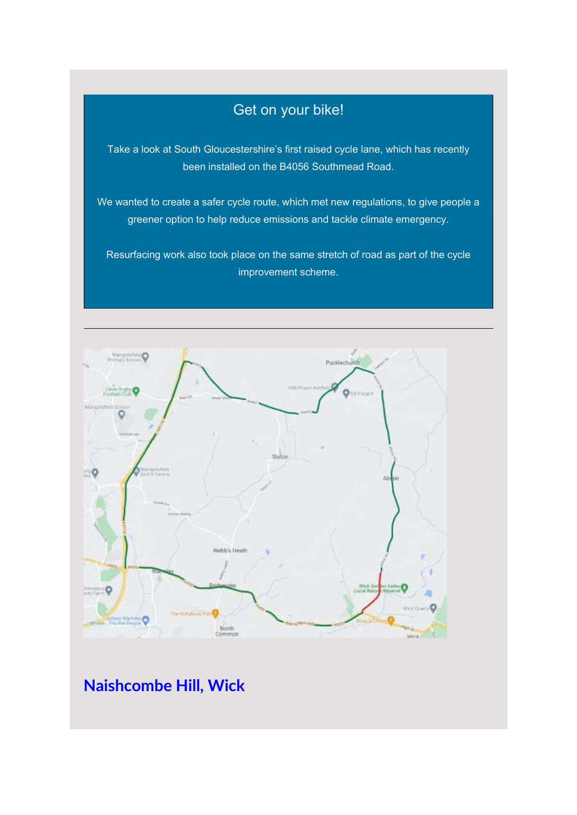### Get on your bike!

Take a look at South Gloucestershire's first raised cycle lane, which has recently been installed on the B4056 Southmead Road.

We wanted to create a safer cycle route, which met new regulations, to give people a greener option to help reduce emissions and tackle climate emergency.

Resurfacing work also took place on the same stretch of road as part of the cycle improvement scheme.



**Naishcombe Hill, Wick**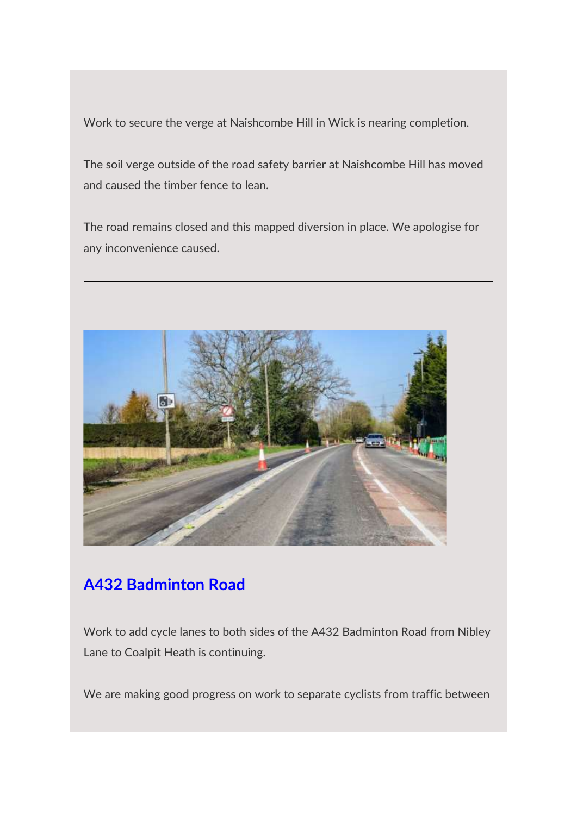Work to secure the verge at Naishcombe Hill in Wick is nearing completion.

The soil verge outside of the road safety barrier at Naishcombe Hill has moved and caused the timber fence to lean.

The road remains closed and this mapped diversion in place. We apologise for any inconvenience caused.



# **A432 Badminton Road**

Work to add cycle lanes to both sides of the A432 Badminton Road from Nibley Lane to Coalpit Heath is continuing.

We are making good progress on work to separate cyclists from traffic between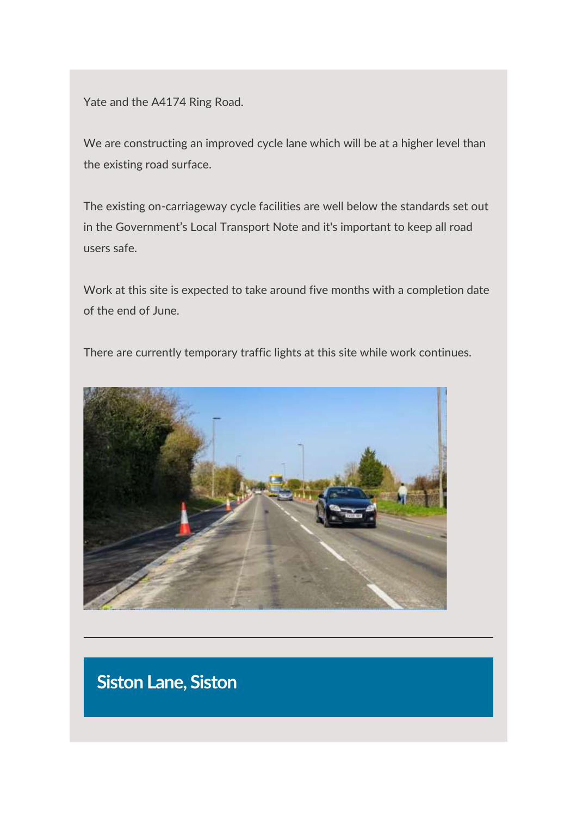Yate and the A4174 Ring Road.

We are constructing an improved cycle lane which will be at a higher level than the existing road surface.

The existing on-carriageway cycle facilities are well below the standards set out in the Government's Local Transport Note and it's important to keep all road users safe.

Work at this site is expected to take around five months with a completion date of the end of June.



There are currently temporary traffic lights at this site while work continues.

# **Siston Lane, Siston**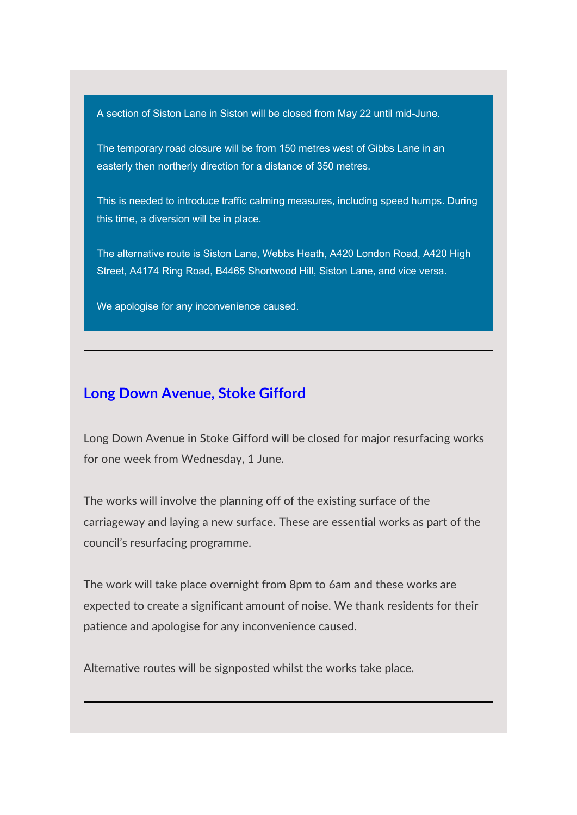A section of Siston Lane in Siston will be closed from May 22 until mid-June.

The temporary road closure will be from 150 metres west of Gibbs Lane in an easterly then northerly direction for a distance of 350 metres.

This is needed to introduce traffic calming measures, including speed humps. During this time, a diversion will be in place.

The alternative route is Siston Lane, Webbs Heath, A420 London Road, A420 High Street, A4174 Ring Road, B4465 Shortwood Hill, Siston Lane, and vice versa.

We apologise for any inconvenience caused.

#### **Long Down Avenue, Stoke Gifford**

Long Down Avenue in Stoke Gifford will be closed for major resurfacing works for one week from Wednesday, 1 June.

The works will involve the planning off of the existing surface of the carriageway and laying a new surface. These are essential works as part of the council's resurfacing programme.

The work will take place overnight from 8pm to 6am and these works are expected to create a significant amount of noise. We thank residents for their patience and apologise for any inconvenience caused.

Alternative routes will be signposted whilst the works take place.